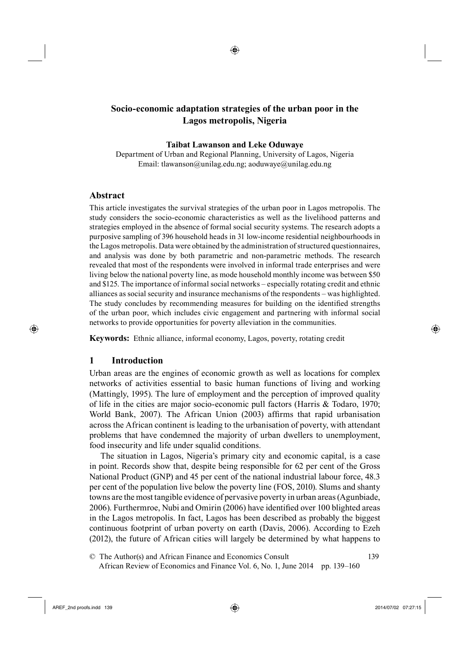◈

#### **Taibat Lawanson and Leke Oduwaye**

Department of Urban and Regional Planning, University of Lagos, Nigeria Email: tlawanson@unilag.edu.ng; aoduwaye@unilag.edu.ng

# **Abstract**

This article investigates the survival strategies of the urban poor in Lagos metropolis. The study considers the socio-economic characteristics as well as the livelihood patterns and strategies employed in the absence of formal social security systems. The research adopts a purposive sampling of 396 household heads in 31 low-income residential neighbourhoods in the Lagos metropolis. Data were obtained by the administration of structured questionnaires, and analysis was done by both parametric and non-parametric methods. The research revealed that most of the respondents were involved in informal trade enterprises and were living below the national poverty line, as mode household monthly income was between \$50 and \$125. The importance of informal social networks – especially rotating credit and ethnic alliances as social security and insurance mechanisms of the respondents – was highlighted. The study concludes by recommending measures for building on the identified strengths of the urban poor, which includes civic engagement and partnering with informal social networks to provide opportunities for poverty alleviation in the communities.

**Keywords:** Ethnic alliance, informal economy, Lagos, poverty, rotating credit

# **1 Introduction**

⊕

Urban areas are the engines of economic growth as well as locations for complex networks of activities essential to basic human functions of living and working (Mattingly, 1995). The lure of employment and the perception of improved quality of life in the cities are major socio-economic pull factors (Harris & Todaro, 1970; World Bank, 2007). The African Union (2003) affirms that rapid urbanisation across the African continent is leading to the urbanisation of poverty, with attendant problems that have condemned the majority of urban dwellers to unemployment, food insecurity and life under squalid conditions.

The situation in Lagos, Nigeria's primary city and economic capital, is a case in point. Records show that, despite being responsible for 62 per cent of the Gross National Product (GNP) and 45 per cent of the national industrial labour force, 48.3 per cent of the population live below the poverty line (FOS, 2010). Slums and shanty towns are the most tangible evidence of pervasive poverty in urban areas (Agunbiade, 2006). Furthermroe, Nubi and Omirin (2006) have identified over 100 blighted areas in the Lagos metropolis. In fact, Lagos has been described as probably the biggest continuous footprint of urban poverty on earth (Davis, 2006). According to Ezeh (2012), the future of African cities will largely be determined by what happens to

AREF\_2nd proofs.indd 139 2014/07/02 07:27:15

<sup>33©</sup> The Author(s) and African Finance and Economics Consult 139 34 African Review of Economics and Finance Vol. 6, No. 1, June 2014 pp. 139–160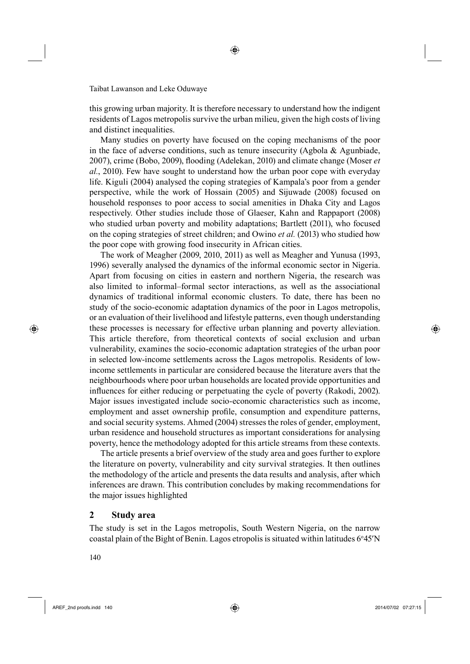this growing urban majority. It is therefore necessary to understand how the indigent residents of Lagos metropolis survive the urban milieu, given the high costs of living and distinct inequalities.

◈

Many studies on poverty have focused on the coping mechanisms of the poor in the face of adverse conditions, such as tenure insecurity (Agbola & Agunbiade, 2007), crime (Bobo, 2009), flooding (Adelekan, 2010) and climate change (Moser *et al.*, 2010). Few have sought to understand how the urban poor cope with everyday life. Kiguli (2004) analysed the coping strategies of Kampala's poor from a gender perspective, while the work of Hossain (2005) and Sijuwade (2008) focused on household responses to poor access to social amenities in Dhaka City and Lagos respectively. Other studies include those of Glaeser, Kahn and Rappaport (2008) who studied urban poverty and mobility adaptations; Bartlett (2011), who focused on the coping strategies of street children; and Owino *et al.* (2013) who studied how the poor cope with growing food insecurity in African cities.

The work of Meagher (2009, 2010, 2011) as well as Meagher and Yunusa (1993, 1996) severally analysed the dynamics of the informal economic sector in Nigeria. Apart from focusing on cities in eastern and northern Nigeria, the research was also limited to informal–formal sector interactions, as well as the associational dynamics of traditional informal economic clusters. To date, there has been no study of the socio-economic adaptation dynamics of the poor in Lagos metropolis, or an evaluation of their livelihood and lifestyle patterns, even though understanding these processes is necessary for effective urban planning and poverty alleviation. This article therefore, from theoretical contexts of social exclusion and urban vulnerability, examines the socio-economic adaptation strategies of the urban poor in selected low-income settlements across the Lagos metropolis. Residents of lowincome settlements in particular are considered because the literature avers that the neighbourhoods where poor urban households are located provide opportunities and influences for either reducing or perpetuating the cycle of poverty (Rakodi, 2002). Major issues investigated include socio-economic characteristics such as income, employment and asset ownership profile, consumption and expenditure patterns, and social security systems. Ahmed (2004) stresses the roles of gender, employment, urban residence and household structures as important considerations for analysing poverty, hence the methodology adopted for this article streams from these contexts.

The article presents a brief overview of the study area and goes further to explore the literature on poverty, vulnerability and city survival strategies. It then outlines the methodology of the article and presents the data results and analysis, after which inferences are drawn. This contribution concludes by making recommendations for the major issues highlighted

# **2 Study area**

The study is set in the Lagos metropolis, South Western Nigeria, on the narrow coastal plain of the Bight of Benin. Lagos etropolis is situated within latitudes 6°45'N

140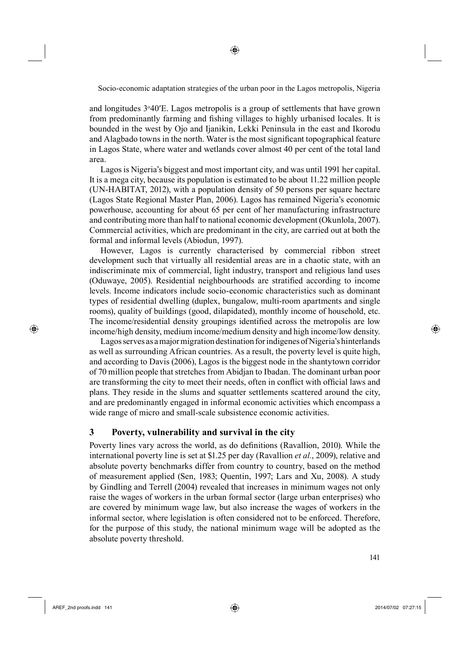◈

and longitudes 3°40'E. Lagos metropolis is a group of settlements that have grown from predominantly farming and fishing villages to highly urbanised locales. It is bounded in the west by Ojo and Ijanikin, Lekki Peninsula in the east and Ikorodu and Alagbado towns in the north. Water is the most significant topographical feature in Lagos State, where water and wetlands cover almost 40 per cent of the total land area.

Lagos is Nigeria's biggest and most important city, and was until 1991 her capital. It is a mega city, because its population is estimated to be about 11.22 million people (UN-HABITAT, 2012), with a population density of 50 persons per square hectare (Lagos State Regional Master Plan, 2006). Lagos has remained Nigeria's economic powerhouse, accounting for about 65 per cent of her manufacturing infrastructure and contributing more than half to national economic development (Okunlola, 2007). Commercial activities, which are predominant in the city, are carried out at both the formal and informal levels (Abiodun, 1997).

176However, Lagos is currently characterised by commercial ribbon street development such that virtually all residential areas are in a chaotic state, with an indiscriminate mix of commercial, light industry, transport and religious land uses (Oduwaye, 2005). Residential neighbourhoods are stratified according to income levels. Income indicators include socio-economic characteristics such as dominant types of residential dwelling (duplex, bungalow, multi-room apartments and single rooms), quality of buildings (good, dilapidated), monthly income of household, etc. The income/residential density groupings identified across the metropolis are low income/high density, medium income/medium density and high income/low density.

Lagos serves as a major migration destination for indigenes of Nigeria's hinterlands as well as surrounding African countries. As a result, the poverty level is quite high, and according to Davis (2006), Lagos is the biggest node in the shantytown corridor of 70 million people that stretches from Abidjan to Ibadan. The dominant urban poor are transforming the city to meet their needs, often in conflict with official laws and plans. They reside in the slums and squatter settlements scattered around the city, and are predominantly engaged in informal economic activities which encompass a wide range of micro and small-scale subsistence economic activities.

# **3 Poverty, vulnerability and survival in the city**

Poverty lines vary across the world, as do definitions (Ravallion, 2010). While the international poverty line is set at \$1.25 per day (Ravallion *et al.*, 2009), relative and absolute poverty benchmarks differ from country to country, based on the method of measurement applied (Sen, 1983; Quentin, 1997; Lars and Xu, 2008). A study by Gindling and Terrell (2004) revealed that increases in minimum wages not only raise the wages of workers in the urban formal sector (large urban enterprises) who are covered by minimum wage law, but also increase the wages of workers in the informal sector, where legislation is often considered not to be enforced. Therefore, for the purpose of this study, the national minimum wage will be adopted as the absolute poverty threshold.

⊕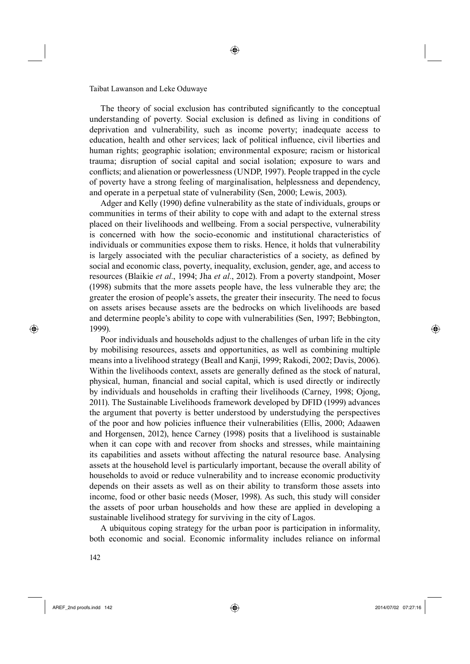The theory of social exclusion has contributed significantly to the conceptual understanding of poverty. Social exclusion is defined as living in conditions of deprivation and vulnerability, such as income poverty; inadequate access to education, health and other services; lack of political influence, civil liberties and human rights; geographic isolation; environmental exposure; racism or historical trauma; disruption of social capital and social isolation; exposure to wars and conflicts; and alienation or powerlessness (UNDP, 1997). People trapped in the cycle of poverty have a strong feeling of marginalisation, helplessness and dependency, and operate in a perpetual state of vulnerability (Sen, 2000; Lewis, 2003).

◈

Adger and Kelly (1990) define vulnerability as the state of individuals, groups or communities in terms of their ability to cope with and adapt to the external stress placed on their livelihoods and wellbeing. From a social perspective, vulnerability is concerned with how the socio-economic and institutional characteristics of individuals or communities expose them to risks. Hence, it holds that vulnerability is largely associated with the peculiar characteristics of a society, as defined by social and economic class, poverty, inequality, exclusion, gender, age, and access to resources (Blaikie *et al.*, 1994; Jha *et al.*, 2012). From a poverty standpoint, Moser (1998) submits that the more assets people have, the less vulnerable they are; the greater the erosion of people's assets, the greater their insecurity. The need to focus on assets arises because assets are the bedrocks on which livelihoods are based and determine people's ability to cope with vulnerabilities (Sen, 1997; Bebbington, 1999).

Poor individuals and households adjust to the challenges of urban life in the city by mobilising resources, assets and opportunities, as well as combining multiple means into a livelihood strategy (Beall and Kanji, 1999; Rakodi, 2002; Davis, 2006). Within the livelihoods context, assets are generally defined as the stock of natural, physical, human, financial and social capital, which is used directly or indirectly by individuals and households in crafting their livelihoods (Carney, 1998; Ojong, 2011). The Sustainable Livelihoods framework developed by DFID (1999) advances the argument that poverty is better understood by understudying the perspectives of the poor and how policies influence their vulnerabilities (Ellis, 2000; Adaawen and Horgensen, 2012), hence Carney (1998) posits that a livelihood is sustainable when it can cope with and recover from shocks and stresses, while maintaining its capabilities and assets without affecting the natural resource base. Analysing assets at the household level is particularly important, because the overall ability of households to avoid or reduce vulnerability and to increase economic productivity depends on their assets as well as on their ability to transform those assets into income, food or other basic needs (Moser, 1998). As such, this study will consider the assets of poor urban households and how these are applied in developing a sustainable livelihood strategy for surviving in the city of Lagos.

181A ubiquitous coping strategy for the urban poor is participation in informality, both economic and social. Economic informality includes reliance on informal

⊕

AREF\_2nd proofs.indd 142 2014/07/02 07:27:16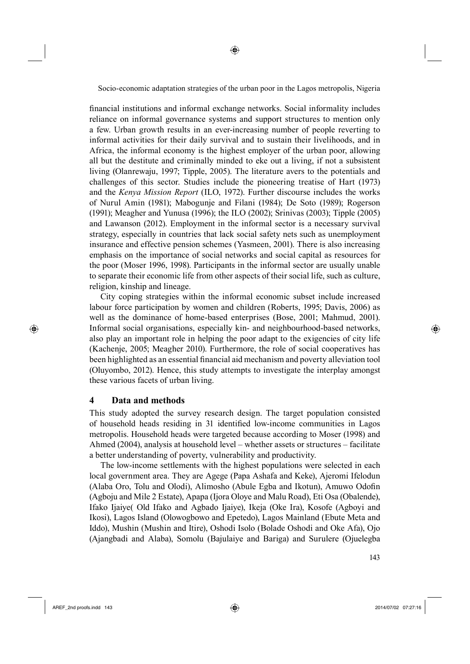financial institutions and informal exchange networks. Social informality includes reliance on informal governance systems and support structures to mention only a few. Urban growth results in an ever-increasing number of people reverting to informal activities for their daily survival and to sustain their livelihoods, and in Africa, the informal economy is the highest employer of the urban poor, allowing all but the destitute and criminally minded to eke out a living, if not a subsistent living (Olanrewaju, 1997; Tipple, 2005). The literature avers to the potentials and challenges of this sector. Studies include the pioneering treatise of Hart (1973) and the *Kenya Mission Report* (ILO, 1972). Further discourse includes the works of Nurul Amin (1981); Mabogunje and Filani (1984); De Soto (1989); Rogerson (1991); Meagher and Yunusa (1996); the ILO (2002); Srinivas (2003); Tipple (2005) and Lawanson (2012). Employment in the informal sector is a necessary survival strategy, especially in countries that lack social safety nets such as unemployment insurance and effective pension schemes (Yasmeen, 2001). There is also increasing emphasis on the importance of social networks and social capital as resources for the poor (Moser 1996, 1998). Participants in the informal sector are usually unable to separate their economic life from other aspects of their social life, such as culture, religion, kinship and lineage.

City coping strategies within the informal economic subset include increased labour force participation by women and children (Roberts, 1995; Davis, 2006) as well as the dominance of home-based enterprises (Bose, 2001; Mahmud, 2001). Informal social organisations, especially kin- and neighbourhood-based networks, also play an important role in helping the poor adapt to the exigencies of city life (Kachenje, 2005; Meagher 2010). Furthermore, the role of social cooperatives has been highlighted as an essential financial aid mechanism and poverty alleviation tool (Oluyombo, 2012). Hence, this study attempts to investigate the interplay amongst these various facets of urban living.

# **4 Data and methods**

This study adopted the survey research design. The target population consisted of household heads residing in 31 identified low-income communities in Lagos metropolis. Household heads were targeted because according to Moser (1998) and Ahmed (2004), analysis at household level – whether assets or structures – facilitate a better understanding of poverty, vulnerability and productivity.

The low-income settlements with the highest populations were selected in each local government area. They are Agege (Papa Ashafa and Keke), Ajeromi Ifelodun (Alaba Oro, Tolu and Olodi), Alimosho (Abule Egba and Ikotun), Amuwo Odofin (Agboju and Mile 2 Estate), Apapa (Ijora Oloye and Malu Road), Eti Osa (Obalende), Ifako Ijaiye( Old Ifako and Agbado Ijaiye), Ikeja (Oke Ira), Kosofe (Agboyi and Ikosi), Lagos Island (Olowogbowo and Epetedo), Lagos Mainland (Ebute Meta and Iddo), Mushin (Mushin and Itire), Oshodi Isolo (Bolade Oshodi and Oke Afa), Ojo (Ajangbadi and Alaba), Somolu (Bajulaiye and Bariga) and Surulere (Ojuelegba

⊕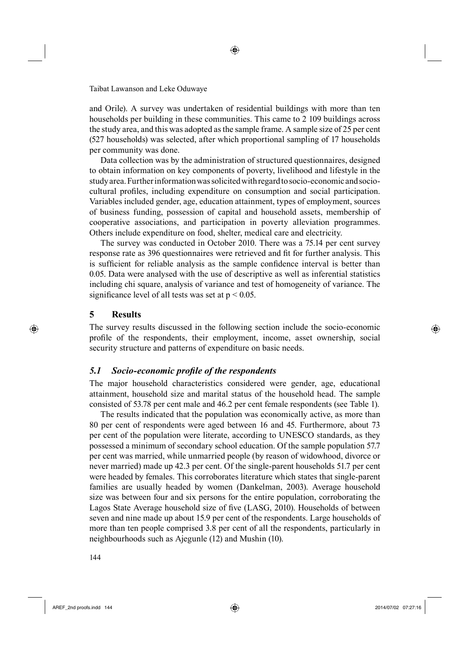and Orile). A survey was undertaken of residential buildings with more than ten households per building in these communities. This came to 2 109 buildings across the study area, and this was adopted as the sample frame. A sample size of 25 per cent (527 households) was selected, after which proportional sampling of 17 households per community was done.

◈

Data collection was by the administration of structured questionnaires, designed to obtain information on key components of poverty, livelihood and lifestyle in the study area. Further information was solicited with regard to socio-economic and sociocultural profiles, including expenditure on consumption and social participation. Variables included gender, age, education attainment, types of employment, sources of business funding, possession of capital and household assets, membership of cooperative associations, and participation in poverty alleviation programmes. Others include expenditure on food, shelter, medical care and electricity.

The survey was conducted in October 2010. There was a 75.14 per cent survey response rate as 396 questionnaires were retrieved and fit for further analysis. This is sufficient for reliable analysis as the sample confidence interval is better than 0.05. Data were analysed with the use of descriptive as well as inferential statistics including chi square, analysis of variance and test of homogeneity of variance. The significance level of all tests was set at  $p < 0.05$ .

## **5 Results**

⊕

The survey results discussed in the following section include the socio-economic profile of the respondents, their employment, income, asset ownership, social security structure and patterns of expenditure on basic needs.

### **5.1** Socio-economic profile of the respondents

The major household characteristics considered were gender, age, educational attainment, household size and marital status of the household head. The sample consisted of 53.78 per cent male and 46.2 per cent female respondents (see Table 1).

The results indicated that the population was economically active, as more than 80 per cent of respondents were aged between 16 and 45. Furthermore, about 73 per cent of the population were literate, according to UNESCO standards, as they possessed a minimum of secondary school education. Of the sample population 57.7 per cent was married, while unmarried people (by reason of widowhood, divorce or never married) made up 42.3 per cent. Of the single-parent households 51.7 per cent were headed by females. This corroborates literature which states that single-parent families are usually headed by women (Dankelman, 2003). Average household size was between four and six persons for the entire population, corroborating the Lagos State Average household size of five (LASG, 2010). Households of between seven and nine made up about 15.9 per cent of the respondents. Large households of more than ten people comprised 3.8 per cent of all the respondents, particularly in neighbourhoods such as Ajegunle (12) and Mushin (10).

5144

AREF\_2nd proofs.indd 144 2014/07/02 07:27:16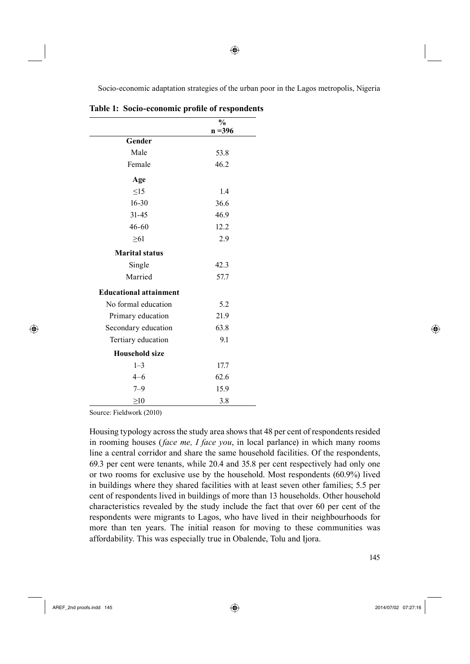|                               | $\frac{6}{9}$<br>$n = 396$ |
|-------------------------------|----------------------------|
| Gender                        |                            |
| Male                          | 53.8                       |
| Female                        | 46.2                       |
| Age                           |                            |
| $\leq15$                      | 1.4                        |
| $16 - 30$                     | 36.6                       |
| $31 - 45$                     | 46.9                       |
| 46-60                         | 12.2                       |
| $\geq 61$                     | 2.9                        |
| <b>Marital status</b>         |                            |
| Single                        | 42.3                       |
| Married                       | 57.7                       |
| <b>Educational attainment</b> |                            |
| No formal education           | 5.2                        |
| Primary education             | 21.9                       |
| Secondary education           | 63.8                       |
| Tertiary education            | 9.1                        |
| <b>Household size</b>         |                            |
| $1 - 3$                       | 17.7                       |
| $4 - 6$                       | 62.6                       |
| $7 - 9$                       | 15.9                       |
| $\geq10$                      | 3.8                        |

Table 1: Socio-economic profile of respondents

Source: Fieldwork (2010)

Housing typology across the study area shows that 48 per cent of respondents resided in rooming houses (*face me, I face you*, in local parlance) in which many rooms line a central corridor and share the same household facilities. Of the respondents, 69.3 per cent were tenants, while 20.4 and 35.8 per cent respectively had only one or two rooms for exclusive use by the household. Most respondents (60.9%) lived in buildings where they shared facilities with at least seven other families; 5.5 per cent of respondents lived in buildings of more than 13 households. Other household characteristics revealed by the study include the fact that over 60 per cent of the respondents were migrants to Lagos, who have lived in their neighbourhoods for more than ten years. The initial reason for moving to these communities was affordability. This was especially true in Obalende, Tolu and Ijora.

 $\frac{145}{145}$ 

⊕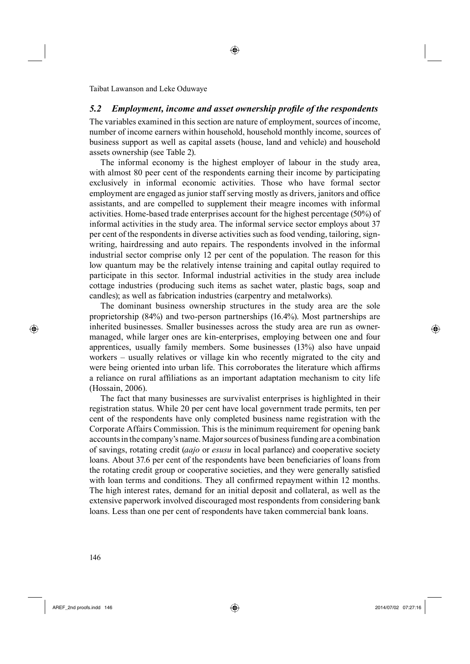#### **5.2** Employment, income and asset ownership profile of the respondents

The variables examined in this section are nature of employment, sources of income, number of income earners within household, household monthly income, sources of business support as well as capital assets (house, land and vehicle) and household assets ownership (see Table 2).

The informal economy is the highest employer of labour in the study area, with almost 80 peer cent of the respondents earning their income by participating exclusively in informal economic activities. Those who have formal sector employment are engaged as junior staff serving mostly as drivers, janitors and office assistants, and are compelled to supplement their meagre incomes with informal activities. Home-based trade enterprises account for the highest percentage (50%) of informal activities in the study area. The informal service sector employs about 37 per cent of the respondents in diverse activities such as food vending, tailoring, signwriting, hairdressing and auto repairs. The respondents involved in the informal industrial sector comprise only 12 per cent of the population. The reason for this low quantum may be the relatively intense training and capital outlay required to participate in this sector. Informal industrial activities in the study area include cottage industries (producing such items as sachet water, plastic bags, soap and candles); as well as fabrication industries (carpentry and metalworks).

The dominant business ownership structures in the study area are the sole proprietorship (84%) and two-person partnerships (16.4%). Most partnerships are inherited businesses. Smaller businesses across the study area are run as ownermanaged, while larger ones are kin-enterprises, employing between one and four apprentices, usually family members. Some businesses (13%) also have unpaid workers – usually relatives or village kin who recently migrated to the city and were being oriented into urban life. This corroborates the literature which affirms a reliance on rural affiliations as an important adaptation mechanism to city life (Hossain, 2006).

The fact that many businesses are survivalist enterprises is highlighted in their registration status. While 20 per cent have local government trade permits, ten per cent of the respondents have only completed business name registration with the Corporate Affairs Commission. This is the minimum requirement for opening bank accounts in the company's name. Major sources of business funding are a combination of savings, rotating credit (*aajo* or *esusu* in local parlance) and cooperative society loans. About 37.6 per cent of the respondents have been beneficiaries of loans from the rotating credit group or cooperative societies, and they were generally satisfied with loan terms and conditions. They all confirmed repayment within 12 months. The high interest rates, demand for an initial deposit and collateral, as well as the extensive paperwork involved discouraged most respondents from considering bank loans. Less than one per cent of respondents have taken commercial bank loans.

AREF\_2nd proofs.indd 146 2014/07/02 07:27:16

⊕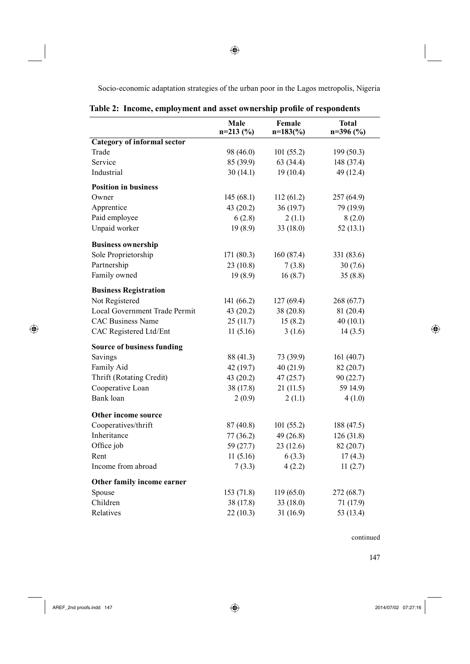|  | Table 2: Income, employment and asset ownership profile of respondents |  |  |
|--|------------------------------------------------------------------------|--|--|
|  |                                                                        |  |  |

|                                    | Male<br>$n=213(%)$ | Female<br>$n=183$ (%) | <b>Total</b><br>$n=396(%)$ |
|------------------------------------|--------------------|-----------------------|----------------------------|
| <b>Category of informal sector</b> |                    |                       |                            |
| Trade                              | 98 (46.0)          | 101(55.2)             | 199 (50.3)                 |
| Service                            | 85 (39.9)          | 63(34.4)              | 148 (37.4)                 |
| Industrial                         | 30(14.1)           | 19(10.4)              | 49 (12.4)                  |
| <b>Position in business</b>        |                    |                       |                            |
| Owner                              | 145(68.1)          | 112(61.2)             | 257 (64.9)                 |
| Apprentice                         | 43 (20.2)          | 36(19.7)              | 79 (19.9)                  |
| Paid employee                      | 6(2.8)             | 2(1.1)                | 8(2.0)                     |
| Unpaid worker                      | 19(8.9)            | 33(18.0)              | 52(13.1)                   |
| <b>Business ownership</b>          |                    |                       |                            |
| Sole Proprietorship                | 171 (80.3)         | 160(87.4)             | 331 (83.6)                 |
| Partnership                        | 23(10.8)           | 7(3.8)                | 30(7.6)                    |
| Family owned                       | 19(8.9)            | 16(8.7)               | 35(8.8)                    |
| <b>Business Registration</b>       |                    |                       |                            |
| Not Registered                     | 141 (66.2)         | 127(69.4)             | 268 (67.7)                 |
| Local Government Trade Permit      | 43(20.2)           | 38 (20.8)             | 81 (20.4)                  |
| <b>CAC Business Name</b>           | 25(11.7)           | 15(8.2)               | 40(10.1)                   |
| CAC Registered Ltd/Ent             | 11(5.16)           | 3(1.6)                | 14(3.5)                    |
| <b>Source of business funding</b>  |                    |                       |                            |
| Savings                            | 88 (41.3)          | 73 (39.9)             | 161(40.7)                  |
| Family Aid                         | 42 (19.7)          | 40(21.9)              | 82 (20.7)                  |
| Thrift (Rotating Credit)           | 43(20.2)           | 47(25.7)              | 90(22.7)                   |
| Cooperative Loan                   | 38 (17.8)          | 21(11.5)              | 59 14.9)                   |
| Bank loan                          | 2(0.9)             | 2(1.1)                | 4(1.0)                     |
| Other income source                |                    |                       |                            |
| Cooperatives/thrift                | 87 (40.8)          | 101(55.2)             | 188 (47.5)                 |
| Inheritance                        | 77(36.2)           | 49(26.8)              | 126(31.8)                  |
| Office job                         | 59 (27.7)          | 23(12.6)              | 82 (20.7)                  |
| Rent                               | 11(5.16)           | 6(3.3)                | 17(4.3)                    |
| Income from abroad                 | 7(3.3)             | 4(2.2)                | 11(2.7)                    |
| Other family income earner         |                    |                       |                            |
| Spouse                             | 153 (71.8)         | 119(65.0)             | 272 (68.7)                 |
| Children                           | 38 (17.8)          | 33 (18.0)             | 71 (17.9)                  |
| Relatives                          | 22(10.3)           | 31(16.9)              | 53 (13.4)                  |

**6 147** 

 $\bigoplus$ 

 $\bigoplus$ 

 $\bigoplus$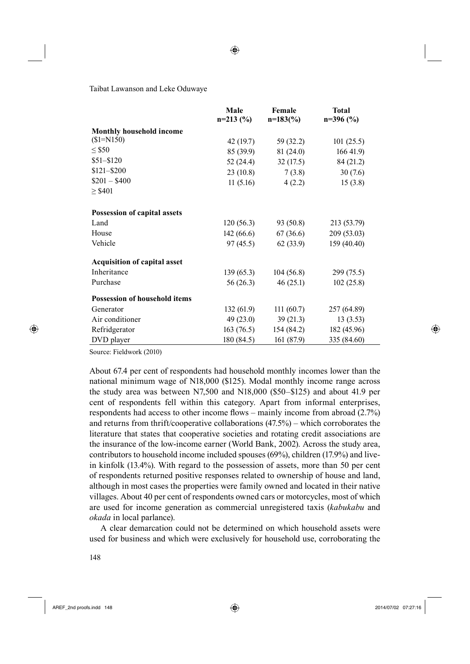◈

Taibat Lawanson and Leke Oduwaye

|                                      | Male<br>$n=213(%)$ | Female<br>$n=183\,(%)$ | <b>Total</b><br>$n=396$ (%) |
|--------------------------------------|--------------------|------------------------|-----------------------------|
| <b>Monthly household income</b>      |                    |                        |                             |
| $($1 = N150)$                        | 42 (19.7)          | 59 (32.2)              | 101(25.5)                   |
| $\leq$ \$50                          | 85 (39.9)          | 81 (24.0)              | 16641.9                     |
| $$51 - $120$                         | 52 (24.4)          | 32(17.5)               | 84 (21.2)                   |
| $$121 - $200$                        | 23(10.8)           | 7(3.8)                 | 30(7.6)                     |
| $$201 - $400$                        | 11(5.16)           | 4(2.2)                 | 15(3.8)                     |
| $\geq$ \$401                         |                    |                        |                             |
| Possession of capital assets         |                    |                        |                             |
| Land                                 | 120(56.3)          | 93 (50.8)              | 213 (53.79)                 |
| House                                | 142(66.6)          | 67 (36.6)              | 209 (53.03)                 |
| Vehicle                              | 97(45.5)           | 62(33.9)               | 159(40.40)                  |
| <b>Acquisition of capital asset</b>  |                    |                        |                             |
| Inheritance                          | 139(65.3)          | 104(56.8)              | 299(75.5)                   |
| Purchase                             | 56 (26.3)          | 46(25.1)               | 102(25.8)                   |
| <b>Possession of household items</b> |                    |                        |                             |
| Generator                            | 132(61.9)          | 111(60.7)              | 257 (64.89)                 |
| Air conditioner                      | 49(23.0)           | 39(21.3)               | 13(3.53)                    |
| Refridgerator                        | 163(76.5)          | 154(84.2)              | 182 (45.96)                 |
| DVD player                           | 180 (84.5)         | 161 (87.9)             | 335 (84.60)                 |

Source: Fieldwork (2010)

⊕

About 67.4 per cent of respondents had household monthly incomes lower than the national minimum wage of N18,000 (\$125). Modal monthly income range across the study area was between N7,500 and N18,000 (\$50–\$125) and about 41.9 per cent of respondents fell within this category. Apart from informal enterprises, respondents had access to other income flows – mainly income from abroad  $(2.7%)$ and returns from thrift/cooperative collaborations (47.5%) – which corroborates the literature that states that cooperative societies and rotating credit associations are the insurance of the low-income earner (World Bank, 2002). Across the study area, contributors to household income included spouses (69%), children (17.9%) and livein kinfolk (13.4%). With regard to the possession of assets, more than 50 per cent of respondents returned positive responses related to ownership of house and land, although in most cases the properties were family owned and located in their native villages. About 40 per cent of respondents owned cars or motorcycles, most of which are used for income generation as commercial unregistered taxis (*kabukabu* and *okada* in local parlance).

A clear demarcation could not be determined on which household assets were used for business and which were exclusively for household use, corroborating the

AREF\_2nd proofs.indd 148 2014/07/02 07:27:16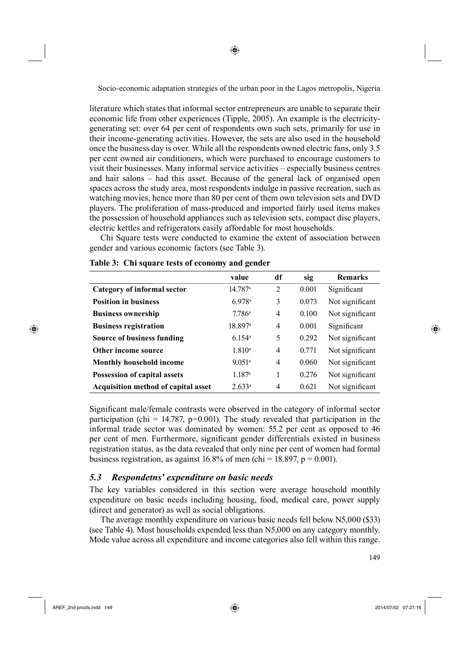literature which states that informal sector entrepreneurs are unable to separate their economic life from other experiences (Tipple, 2005). An example is the electricitygenerating set: over 64 per cent of respondents own such sets, primarily for use in their income-generating activities. However, the sets are also used in the household once the business day is over. While all the respondents owned electric fans, only 3.5 per cent owned air conditioners, which were purchased to encourage customers to visit their businesses. Many informal service activities – especially business centres and hair salons – had this asset. Because of the general lack of organised open spaces across the study area, most respondents indulge in passive recreation, such as watching movies, hence more than 80 per cent of them own television sets and DVD players. The proliferation of mass-produced and imported fairly used items makes the possession of household appliances such as television sets, compact disc players, electric kettles and refrigerators easily affordable for most households.

Chi Square tests were conducted to examine the extent of association between gender and various economic factors (see Table 3).

|                                     | value                | df             | sig   | <b>Remarks</b>  |
|-------------------------------------|----------------------|----------------|-------|-----------------|
| Category of informal sector         | 14.787a              | $\overline{2}$ | 0.001 | Significant     |
| <b>Position in business</b>         | $6.978$ <sup>a</sup> | 3              | 0.073 | Not significant |
| <b>Business ownership</b>           | 7.786a               | 4              | 0.100 | Not significant |
| <b>Business registration</b>        | 18.897a              | 4              | 0.001 | Significant     |
| Source of business funding          | $6.154$ <sup>a</sup> | 5              | 0.292 | Not significant |
| Other income source                 | $1.810^a$            | 4              | 0.771 | Not significant |
| <b>Monthly household income</b>     | $9.051$ <sup>a</sup> | 4              | 0.060 | Not significant |
| Possession of capital assets        | 1.187a               | 1              | 0.276 | Not significant |
| Acquisition method of capital asset | 2.633a               | 4              | 0.621 | Not significant |

**Table 3: Chi square tests of economy and gender**

Significant male/female contrasts were observed in the category of informal sector participation (chi = 14.787, p=0.001). The study revealed that participation in the informal trade sector was dominated by women: 55.2 per cent as opposed to 46 per cent of men. Furthermore, significant gender differentials existed in business registration status, as the data revealed that only nine per cent of women had formal business registration, as against 16.8% of men (chi = 18.897,  $p = 0.001$ ).

# *5.3 Respondetns' expenditure on basic needs*

The key variables considered in this section were average household monthly expenditure on basic needs including housing, food, medical care, power supply (direct and generator) as well as social obligations.

The average monthly expenditure on various basic needs fell below N5,000 (\$33) (see Table 4). Most households expended less than N5,000 on any category monthly. Mode value across all expenditure and income categories also fell within this range.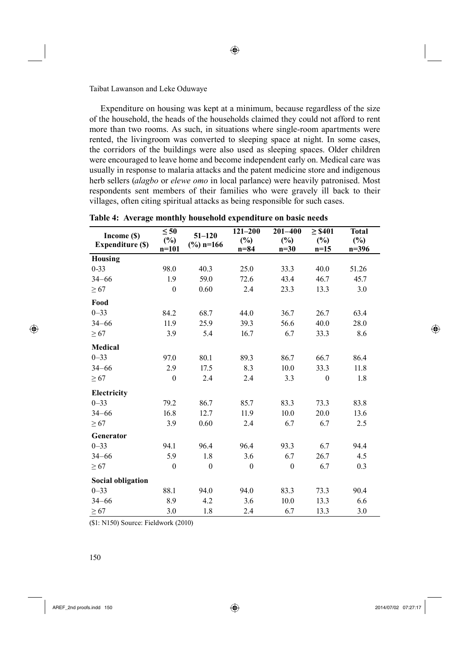Expenditure on housing was kept at a minimum, because regardless of the size of the household, the heads of the households claimed they could not afford to rent more than two rooms. As such, in situations where single-room apartments were rented, the livingroom was converted to sleeping space at night. In some cases, the corridors of the buildings were also used as sleeping spaces. Older children were encouraged to leave home and become independent early on. Medical care was usually in response to malaria attacks and the patent medicine store and indigenous herb sellers (*alagbo* or *elewe omo* in local parlance) were heavily patronised. Most respondents sent members of their families who were gravely ill back to their villages, often citing spiritual attacks as being responsible for such cases.

| Income (\$)<br><b>Expenditure (\$)</b> | $\leq 50$<br>$(\%)$<br>$n=101$ | $51 - 120$<br>$\frac{6}{2}$ n=166 | $121 - 200$<br>$(\%)$<br>$n=84$ | $201 - 400$<br>$(\%)$<br>$n=30$ | $\geq$ \$401<br>(%)<br>$n=15$ | <b>Total</b><br>$(\%)$<br>$n=396$ |
|----------------------------------------|--------------------------------|-----------------------------------|---------------------------------|---------------------------------|-------------------------------|-----------------------------------|
| <b>Housing</b>                         |                                |                                   |                                 |                                 |                               |                                   |
| $0 - 33$                               | 98.0                           | 40.3                              | 25.0                            | 33.3                            | 40.0                          | 51.26                             |
| $34 - 66$                              | 1.9                            | 59.0                              | 72.6                            | 43.4                            | 46.7                          | 45.7                              |
| $\geq 67$                              | $\boldsymbol{0}$               | 0.60                              | 2.4                             | 23.3                            | 13.3                          | 3.0                               |
| Food                                   |                                |                                   |                                 |                                 |                               |                                   |
| $0 - 33$                               | 84.2                           | 68.7                              | 44.0                            | 36.7                            | 26.7                          | 63.4                              |
| $34 - 66$                              | 11.9                           | 25.9                              | 39.3                            | 56.6                            | 40.0                          | 28.0                              |
| $\geq 67$                              | 3.9                            | 5.4                               | 16.7                            | 6.7                             | 33.3                          | 8.6                               |
| <b>Medical</b>                         |                                |                                   |                                 |                                 |                               |                                   |
| $0 - 33$                               | 97.0                           | 80.1                              | 89.3                            | 86.7                            | 66.7                          | 86.4                              |
| $34 - 66$                              | 2.9                            | 17.5                              | 8.3                             | 10.0                            | 33.3                          | 11.8                              |
| $\geq 67$                              | $\boldsymbol{0}$               | 2.4                               | 2.4                             | 3.3                             | $\theta$                      | 1.8                               |
| Electricity                            |                                |                                   |                                 |                                 |                               |                                   |
| $0 - 33$                               | 79.2                           | 86.7                              | 85.7                            | 83.3                            | 73.3                          | 83.8                              |
| $34 - 66$                              | 16.8                           | 12.7                              | 11.9                            | 10.0                            | 20.0                          | 13.6                              |
| $\geq 67$                              | 3.9                            | 0.60                              | 2.4                             | 6.7                             | 6.7                           | 2.5                               |
| Generator                              |                                |                                   |                                 |                                 |                               |                                   |
| $0 - 33$                               | 94.1                           | 96.4                              | 96.4                            | 93.3                            | 6.7                           | 94.4                              |
| $34 - 66$                              | 5.9                            | 1.8                               | 3.6                             | 6.7                             | 26.7                          | 4.5                               |
| $\geq 67$                              | $\boldsymbol{0}$               | $\boldsymbol{0}$                  | $\boldsymbol{0}$                | $\theta$                        | 6.7                           | 0.3                               |
| <b>Social obligation</b>               |                                |                                   |                                 |                                 |                               |                                   |
| $0 - 33$                               | 88.1                           | 94.0                              | 94.0                            | 83.3                            | 73.3                          | 90.4                              |
| $34 - 66$                              | 8.9                            | 4.2                               | 3.6                             | 10.0                            | 13.3                          | 6.6                               |
| $\geq 67$                              | 3.0                            | 1.8                               | 2.4                             | 6.7                             | 13.3                          | 3.0                               |

**Table 4: Average monthly household expenditure on basic needs**

(\$1: N150) Source: Fieldwork (2010)

⊕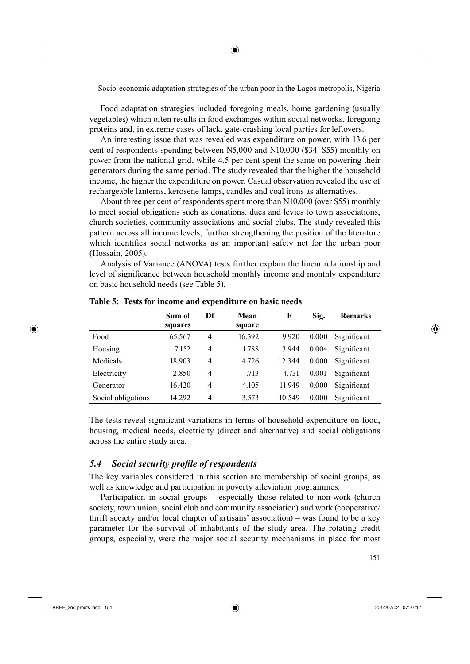◈

194Food adaptation strategies included foregoing meals, home gardening (usually vegetables) which often results in food exchanges within social networks, foregoing proteins and, in extreme cases of lack, gate-crashing local parties for leftovers.

An interesting issue that was revealed was expenditure on power, with 13.6 per cent of respondents spending between N5,000 and N10,000 (\$34–\$55) monthly on power from the national grid, while 4.5 per cent spent the same on powering their generators during the same period. The study revealed that the higher the household income, the higher the expenditure on power. Casual observation revealed the use of rechargeable lanterns, kerosene lamps, candles and coal irons as alternatives.

About three per cent of respondents spent more than N10,000 (over \$55) monthly to meet social obligations such as donations, dues and levies to town associations, church societies, community associations and social clubs. The study revealed this pattern across all income levels, further strengthening the position of the literature which identifies social networks as an important safety net for the urban poor (Hossain, 2005).

Analysis of Variance (ANOVA) tests further explain the linear relationship and level of significance between household monthly income and monthly expenditure on basic household needs (see Table 5).

|                    | Sum of  | Df | Mean   | F      | Sig.  | <b>Remarks</b> |
|--------------------|---------|----|--------|--------|-------|----------------|
|                    | squares |    | square |        |       |                |
| Food               | 65.567  | 4  | 16.392 | 9.920  | 0.000 | Significant    |
| Housing            | 7.152   | 4  | 1.788  | 3.944  | 0.004 | Significant    |
| Medicals           | 18.903  | 4  | 4.726  | 12.344 | 0.000 | Significant    |
| Electricity        | 2.850   | 4  | .713   | 4.731  | 0.001 | Significant    |
| Generator          | 16.420  | 4  | 4.105  | 11.949 | 0.000 | Significant    |
| Social obligations | 14 292  | 4  | 3.573  | 10.549 | 0.000 | Significant    |

**Table 5: Tests for income and expenditure on basic needs**

The tests reveal significant variations in terms of household expenditure on food, housing, medical needs, electricity (direct and alternative) and social obligations across the entire study area.

# *5.4 Social security profi le of respondents*

The key variables considered in this section are membership of social groups, as well as knowledge and participation in poverty alleviation programmes.

Participation in social groups – especially those related to non-work (church society, town union, social club and community association) and work (cooperative/ thrift society and/or local chapter of artisans' association) – was found to be a key parameter for the survival of inhabitants of the study area. The rotating credit groups, especially, were the major social security mechanisms in place for most

⊕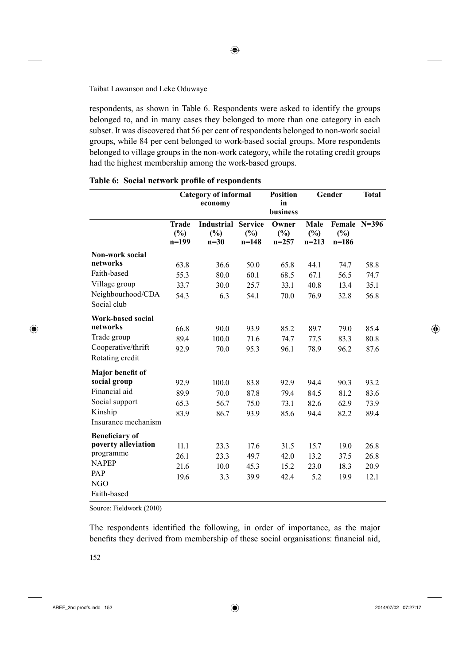respondents, as shown in Table 6. Respondents were asked to identify the groups belonged to, and in many cases they belonged to more than one category in each subset. It was discovered that 56 per cent of respondents belonged to non-work social groups, while 84 per cent belonged to work-based social groups. More respondents belonged to village groups in the non-work category, while the rotating credit groups had the highest membership among the work-based groups.

|                                       | <b>Category of informal</b><br>economy |                                    |                                  | <b>Position</b><br>Gender<br>in<br>business |                           |                                | <b>Total</b> |
|---------------------------------------|----------------------------------------|------------------------------------|----------------------------------|---------------------------------------------|---------------------------|--------------------------------|--------------|
|                                       | <b>Trade</b><br>$(\%)$<br>$n=199$      | <b>Industrial</b><br>(%)<br>$n=30$ | <b>Service</b><br>(%)<br>$n=148$ | Owner<br>$(\%)$<br>$n=257$                  | Male<br>$(\%)$<br>$n=213$ | Female N=396<br>(%)<br>$n=186$ |              |
| <b>Non-work social</b>                |                                        |                                    |                                  |                                             |                           |                                |              |
| networks                              | 63.8                                   | 36.6                               | 50.0                             | 65.8                                        | 44.1                      | 74.7                           | 58.8         |
| Faith-based                           | 55.3                                   | 80.0                               | 60.1                             | 68.5                                        | 67.1                      | 56.5                           | 74.7         |
| Village group                         | 33.7                                   | 30.0                               | 25.7                             | 33.1                                        | 40.8                      | 13.4                           | 35.1         |
| Neighbourhood/CDA<br>Social club      | 54.3                                   | 6.3                                | 54.1                             | 70.0                                        | 76.9                      | 32.8                           | 56.8         |
| Work-based social                     |                                        |                                    |                                  |                                             |                           |                                |              |
| networks                              | 66.8                                   | 90.0                               | 93.9                             | 85.2                                        | 89.7                      | 79.0                           | 85.4         |
| Trade group                           | 89.4                                   | 100.0                              | 71.6                             | 74.7                                        | 77.5                      | 83.3                           | 80.8         |
| Cooperative/thrift<br>Rotating credit | 92.9                                   | 70.0                               | 95.3                             | 96.1                                        | 78.9                      | 96.2                           | 87.6         |
| Major benefit of                      |                                        |                                    |                                  |                                             |                           |                                |              |
| social group                          | 92.9                                   | 100.0                              | 83.8                             | 92.9                                        | 94.4                      | 90.3                           | 93.2         |
| Financial aid                         | 89.9                                   | 70.0                               | 87.8                             | 79.4                                        | 84.5                      | 81.2                           | 83.6         |
| Social support                        | 65.3                                   | 56.7                               | 75.0                             | 73.1                                        | 82.6                      | 62.9                           | 73.9         |
| Kinship                               | 83.9                                   | 86.7                               | 93.9                             | 85.6                                        | 94.4                      | 82.2                           | 89.4         |
| Insurance mechanism                   |                                        |                                    |                                  |                                             |                           |                                |              |
| <b>Beneficiary of</b>                 |                                        |                                    |                                  |                                             |                           |                                |              |
| poverty alleviation                   | 11.1                                   | 23.3                               | 17.6                             | 31.5                                        | 15.7                      | 19.0                           | 26.8         |
| programme                             | 26.1                                   | 23.3                               | 49.7                             | 42.0                                        | 13.2                      | 37.5                           | 26.8         |
| <b>NAPEP</b>                          | 21.6                                   | 10.0                               | 45.3                             | 15.2                                        | 23.0                      | 18.3                           | 20.9         |
| PAP                                   | 19.6                                   | 3.3                                | 39.9                             | 42.4                                        | 5.2                       | 19.9                           | 12.1         |
| NGO                                   |                                        |                                    |                                  |                                             |                           |                                |              |
| Faith-based                           |                                        |                                    |                                  |                                             |                           |                                |              |

|  | Table 6: Social network profile of respondents |  |  |
|--|------------------------------------------------|--|--|
|--|------------------------------------------------|--|--|

Source: Fieldwork (2010)

The respondents identified the following, in order of importance, as the major benefits they derived from membership of these social organisations: financial aid,

 $\bigoplus$ 

↔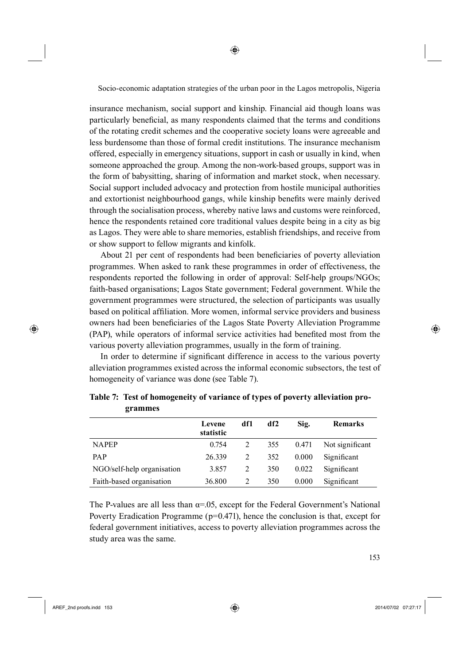insurance mechanism, social support and kinship. Financial aid though loans was particularly beneficial, as many respondents claimed that the terms and conditions of the rotating credit schemes and the cooperative society loans were agreeable and less burdensome than those of formal credit institutions. The insurance mechanism offered, especially in emergency situations, support in cash or usually in kind, when someone approached the group. Among the non-work-based groups, support was in the form of babysitting, sharing of information and market stock, when necessary. Social support included advocacy and protection from hostile municipal authorities and extortionist neighbourhood gangs, while kinship benefits were mainly derived through the socialisation process, whereby native laws and customs were reinforced, hence the respondents retained core traditional values despite being in a city as big as Lagos. They were able to share memories, establish friendships, and receive from or show support to fellow migrants and kinfolk.

About 21 per cent of respondents had been beneficiaries of poverty alleviation programmes. When asked to rank these programmes in order of effectiveness, the respondents reported the following in order of approval: Self-help groups/NGOs; faith-based organisations; Lagos State government; Federal government. While the government programmes were structured, the selection of participants was usually based on political affiliation. More women, informal service providers and business owners had been beneficiaries of the Lagos State Poverty Alleviation Programme (PAP), while operators of informal service activities had benefited most from the various poverty alleviation programmes, usually in the form of training.

In order to determine if significant difference in access to the various poverty alleviation programmes existed across the informal economic subsectors, the test of homogeneity of variance was done (see Table 7).

|                            | Levene<br>statistic | df1 | df2 | Sig.  | <b>Remarks</b>  |
|----------------------------|---------------------|-----|-----|-------|-----------------|
| <b>NAPEP</b>               | 0.754               |     | 355 | 0.471 | Not significant |
| <b>PAP</b>                 | 26.339              | 2   | 352 | 0.000 | Significant     |
| NGO/self-help organisation | 3.857               | 2   | 350 | 0.022 | Significant     |
| Faith-based organisation   | 36.800              |     | 350 | 0.000 | Significant     |

**Table 7: Test of homogeneity of variance of types of poverty alleviation programmes**

The P-values are all less than  $\alpha$ =.05, except for the Federal Government's National Poverty Eradication Programme  $(p=0.471)$ , hence the conclusion is that, except for federal government initiatives, access to poverty alleviation programmes across the study area was the same.

AREF\_2nd proofs.indd 153 2014/07/02 07:27:17

⊕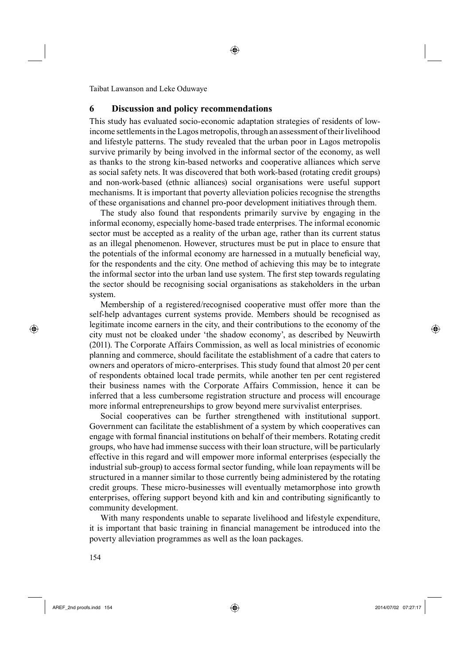# **6 Discussion and policy recommendations**

This study has evaluated socio-economic adaptation strategies of residents of lowincome settlements in the Lagos metropolis, through an assessment of their livelihood and lifestyle patterns. The study revealed that the urban poor in Lagos metropolis survive primarily by being involved in the informal sector of the economy, as well as thanks to the strong kin-based networks and cooperative alliances which serve as social safety nets. It was discovered that both work-based (rotating credit groups) and non-work-based (ethnic alliances) social organisations were useful support mechanisms. It is important that poverty alleviation policies recognise the strengths of these organisations and channel pro-poor development initiatives through them.

The study also found that respondents primarily survive by engaging in the informal economy, especially home-based trade enterprises. The informal economic sector must be accepted as a reality of the urban age, rather than its current status as an illegal phenomenon. However, structures must be put in place to ensure that the potentials of the informal economy are harnessed in a mutually beneficial way, for the respondents and the city. One method of achieving this may be to integrate the informal sector into the urban land use system. The first step towards regulating the sector should be recognising social organisations as stakeholders in the urban system.

Membership of a registered/recognised cooperative must offer more than the self-help advantages current systems provide. Members should be recognised as legitimate income earners in the city, and their contributions to the economy of the city must not be cloaked under 'the shadow economy', as described by Neuwirth (2011). The Corporate Affairs Commission, as well as local ministries of economic planning and commerce, should facilitate the establishment of a cadre that caters to owners and operators of micro-enterprises. This study found that almost 20 per cent of respondents obtained local trade permits, while another ten per cent registered their business names with the Corporate Affairs Commission, hence it can be inferred that a less cumbersome registration structure and process will encourage more informal entrepreneurships to grow beyond mere survivalist enterprises.

Social cooperatives can be further strengthened with institutional support. Government can facilitate the establishment of a system by which cooperatives can engage with formal financial institutions on behalf of their members. Rotating credit groups, who have had immense success with their loan structure, will be particularly effective in this regard and will empower more informal enterprises (especially the industrial sub-group) to access formal sector funding, while loan repayments will be structured in a manner similar to those currently being administered by the rotating credit groups. These micro-businesses will eventually metamorphose into growth enterprises, offering support beyond kith and kin and contributing significantly to community development.

With many respondents unable to separate livelihood and lifestyle expenditure, it is important that basic training in financial management be introduced into the poverty alleviation programmes as well as the loan packages.

5154

⊕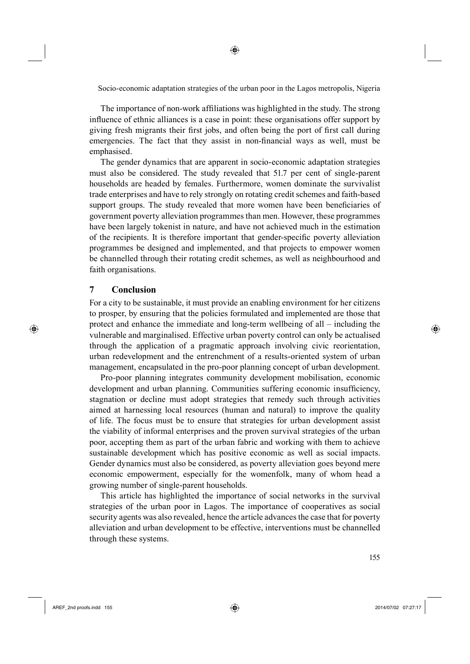◈

The importance of non-work affiliations was highlighted in the study. The strong influence of ethnic alliances is a case in point: these organisations offer support by giving fresh migrants their first jobs, and often being the port of first call during emergencies. The fact that they assist in non-financial ways as well, must be emphasised.

The gender dynamics that are apparent in socio-economic adaptation strategies must also be considered. The study revealed that 51.7 per cent of single-parent households are headed by females. Furthermore, women dominate the survivalist trade enterprises and have to rely strongly on rotating credit schemes and faith-based support groups. The study revealed that more women have been beneficiaries of government poverty alleviation programmes than men. However, these programmes have been largely tokenist in nature, and have not achieved much in the estimation of the recipients. It is therefore important that gender-specific poverty alleviation programmes be designed and implemented, and that projects to empower women be channelled through their rotating credit schemes, as well as neighbourhood and faith organisations.

# **7 Conclusion**

⊕

For a city to be sustainable, it must provide an enabling environment for her citizens to prosper, by ensuring that the policies formulated and implemented are those that protect and enhance the immediate and long-term wellbeing of all – including the vulnerable and marginalised. Effective urban poverty control can only be actualised through the application of a pragmatic approach involving civic reorientation, urban redevelopment and the entrenchment of a results-oriented system of urban management, encapsulated in the pro-poor planning concept of urban development.

Pro-poor planning integrates community development mobilisation, economic development and urban planning. Communities suffering economic insufficiency, stagnation or decline must adopt strategies that remedy such through activities aimed at harnessing local resources (human and natural) to improve the quality of life. The focus must be to ensure that strategies for urban development assist the viability of informal enterprises and the proven survival strategies of the urban poor, accepting them as part of the urban fabric and working with them to achieve sustainable development which has positive economic as well as social impacts. Gender dynamics must also be considered, as poverty alleviation goes beyond mere economic empowerment, especially for the womenfolk, many of whom head a growing number of single-parent households.

This article has highlighted the importance of social networks in the survival strategies of the urban poor in Lagos. The importance of cooperatives as social security agents was also revealed, hence the article advances the case that for poverty alleviation and urban development to be effective, interventions must be channelled through these systems.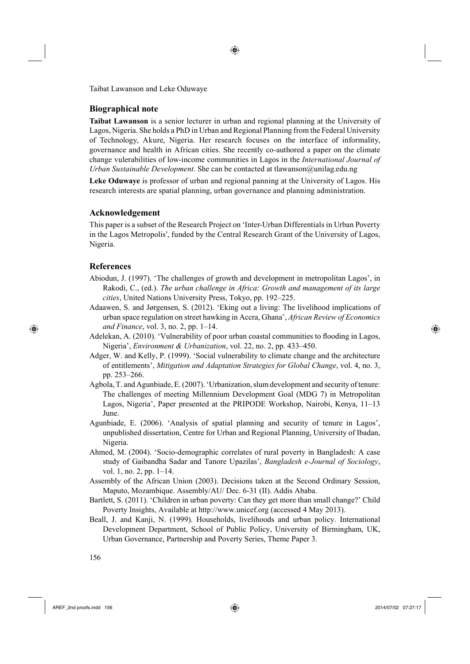◈

Taibat Lawanson and Leke Oduwaye

#### **Biographical note**

**Taibat Lawanson** is a senior lecturer in urban and regional planning at the University of Lagos, Nigeria. She holds a PhD in Urban and Regional Planning from the Federal University of Technology, Akure, Nigeria. Her research focuses on the interface of informality, governance and health in African cities. She recently co-authored a paper on the climate change vulerabilities of low-income communities in Lagos in the *International Journal of Urban Sustainable Development*. She can be contacted at tlawanson@unilag.edu.ng

**Leke Oduwaye** is professor of urban and regional panning at the University of Lagos. His research interests are spatial planning, urban governance and planning administration.

### **Acknowledgement**

This paper is a subset of the Research Project on 'Inter-Urban Differentials in Urban Poverty in the Lagos Metropolis', funded by the Central Research Grant of the University of Lagos, Nigeria.

#### **References**

⊕

- Abiodun, J. (1997). 'The challenges of growth and development in metropolitan Lagos', in Rakodi, C., (ed.). *The urban challenge in Africa: Growth and management of its large cities*, United Nations University Press, Tokyo, pp. 192–225.
- Adaawen, S. and Jørgensen, S. (2012). 'Eking out a living: The livelihood implications of urban space regulation on street hawking in Accra, Ghana', *African Review of Economics and Finance*, vol. 3, no. 2, pp. 1–14.
- Adelekan, A. (2010). 'Vulnerability of poor urban coastal communities to flooding in Lagos, Nigeria', *Environment & Urbanization*, vol. 22, no. 2, pp. 433–450.
- Adger, W. and Kelly, P. (1999). 'Social vulnerability to climate change and the architecture of entitlements', *Mitigation and Adaptation Strategies for Global Change*, vol. 4, no. 3, pp. 253–266.
- Agbola, T. and Agunbiade, E. (2007). 'Urbanization, slum development and security of tenure: The challenges of meeting Millennium Development Goal (MDG 7) in Metropolitan Lagos, Nigeria', Paper presented at the PRIPODE Workshop, Nairobi, Kenya, 11–13 June.
- Agunbiade, E. (2006). 'Analysis of spatial planning and security of tenure in Lagos', unpublished dissertation, Centre for Urban and Regional Planning, University of Ibadan, Nigeria.
- Ahmed, M. (2004). 'Socio-demographic correlates of rural poverty in Bangladesh: A case study of Gaibandha Sadar and Tanore Upazilas', *Bangladesh e-Journal of Sociology*, vol. 1, no. 2, pp. 1–14.
- Assembly of the African Union (2003). Decisions taken at the Second Ordinary Session, Maputo, Mozambique. Assembly/AU/ Dec. 6-31 (II). Addis Ababa.
- Bartlett, S. (2011). 'Children in urban poverty: Can they get more than small change?' Child Poverty Insights, Available at http://www.unicef.org (accessed 4 May 2013).
- Beall, J. and Kanji, N. (1999). Households, livelihoods and urban policy. International Development Department, School of Public Policy, University of Birmingham, UK, Urban Governance, Partnership and Poverty Series, Theme Paper 3.

AREF\_2nd proofs.indd 156 2014/07/02 07:27:17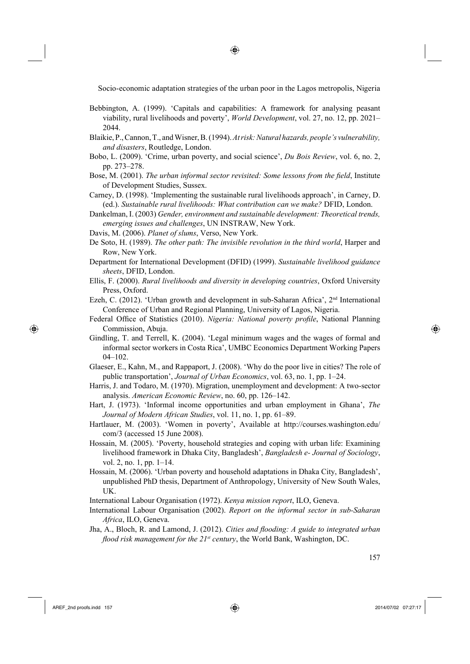◈

- Bebbington, A. (1999). 'Capitals and capabilities: A framework for analysing peasant viability, rural livelihoods and poverty', *World Development*, vol. 27, no. 12, pp. 2021– 2044.
- Blaikie, P., Cannon, T., and Wisner, B. (1994). *At risk: Natural hazards, people's vulnerability, and disasters*, Routledge, London.
- Bobo, L. (2009). 'Crime, urban poverty, and social science', *Du Bois Review*, vol. 6, no. 2, pp. 273–278.
- Bose, M. (2001). *The urban informal sector revisited: Some lessons from the field*, Institute of Development Studies, Sussex.
- Carney, D. (1998). 'Implementing the sustainable rural livelihoods approach', in Carney, D. (ed.). *Sustainable rural livelihoods: What contribution can we make?* DFID, London.
- Dankelman, I. (2003) *Gender, environment and sustainable development: Theoretical trends, emerging issues and challenges*, UN INSTRAW, New York.
- Davis, M. (2006). *Planet of slums*, Verso, New York.
- De Soto, H. (1989). *The other path: The invisible revolution in the third world*, Harper and Row, New York.
- Department for International Development (DFID) (1999). *Sustainable livelihood guidance sheets*, DFID, London.
- Ellis, F. (2000). *Rural livelihoods and diversity in developing countries*, Oxford University Press, Oxford.
- Ezeh, C. (2012). 'Urban growth and development in sub-Saharan Africa',  $2<sup>nd</sup>$  International Conference of Urban and Regional Planning, University of Lagos, Nigeria.
- Federal Office of Statistics (2010). *Nigeria: National poverty profile*, National Planning Commission, Abuja.
- Gindling, T. and Terrell, K. (2004). 'Legal minimum wages and the wages of formal and informal sector workers in Costa Rica', UMBC Economics Department Working Papers 04–102.
- Glaeser, E., Kahn, M., and Rappaport, J. (2008). 'Why do the poor live in cities? The role of public transportation', *Journal of Urban Economics*, vol. 63, no. 1, pp. 1–24.
- Harris, J. and Todaro, M. (1970). Migration, unemployment and development: A two-sector analysis. *American Economic Review*, no. 60, pp. 126–142.
- Hart, J. (1973). 'Informal income opportunities and urban employment in Ghana', *The Journal of Modern African Studies*, vol. 11, no. 1, pp. 61–89.
- Hartlauer, M. (2003). 'Women in poverty', Available at http://courses.washington.edu/ com/3 (accessed 15 June 2008).
- Hossain, M. (2005). 'Poverty, household strategies and coping with urban life: Examining livelihood framework in Dhaka City, Bangladesh', *Bangladesh e- Journal of Sociology*, vol. 2, no. 1, pp. 1–14.
- Hossain, M. (2006). 'Urban poverty and household adaptations in Dhaka City, Bangladesh', unpublished PhD thesis, Department of Anthropology, University of New South Wales, UK.

International Labour Organisation (1972). *Kenya mission report*, ILO, Geneva.

- International Labour Organisation (2002). *Report on the informal sector in sub-Saharan Africa*, ILO, Geneva.
- Jha, A., Bloch, R. and Lamond, J. (2012). *Cities and flooding: A guide to integrated urban flood risk management for the 21<sup>st</sup> century*, the World Bank, Washington, DC.

AREF\_2nd proofs.indd 157 2014/07/02 07:27:17

⊕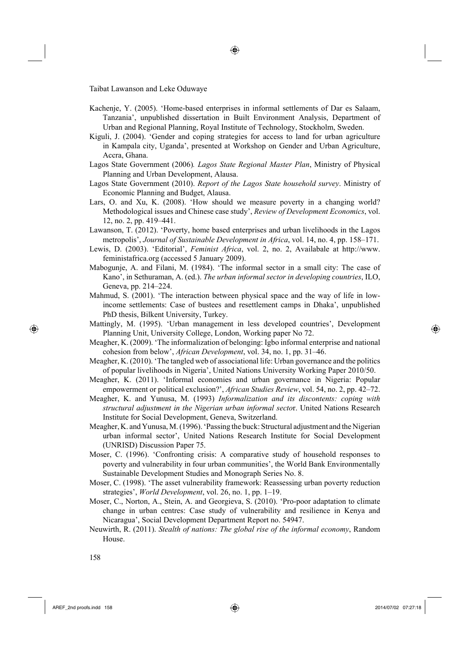Kachenje, Y. (2005). 'Home-based enterprises in informal settlements of Dar es Salaam, Tanzania', unpublished dissertation in Built Environment Analysis, Department of Urban and Regional Planning, Royal Institute of Technology, Stockholm, Sweden.

◈

- Kiguli, J. (2004). 'Gender and coping strategies for access to land for urban agriculture in Kampala city, Uganda', presented at Workshop on Gender and Urban Agriculture, Accra, Ghana.
- Lagos State Government (2006)*. Lagos State Regional Master Plan*, Ministry of Physical Planning and Urban Development, Alausa.
- Lagos State Government (2010). *Report of the Lagos State household survey*. Ministry of Economic Planning and Budget, Alausa.
- Lars, O. and Xu, K. (2008). 'How should we measure poverty in a changing world? Methodological issues and Chinese case study', *Review of Development Economics*, vol. 12, no. 2, pp. 419–441.
- Lawanson, T. (2012). 'Poverty, home based enterprises and urban livelihoods in the Lagos metropolis', *Journal of Sustainable Development in Africa*, vol. 14, no. 4, pp. 158–171.
- Lewis, D. (2003). 'Editorial', *Feminist Africa*, vol. 2, no. 2, Availabale at http://www. feministafrica.org (accessed 5 January 2009).
- Mabogunje, A. and Filani, M. (1984). 'The informal sector in a small city: The case of Kano', in Sethuraman, A. (ed.). *The urban informal sector in developing countries*, ILO, Geneva, pp. 214–224.
- Mahmud, S. (2001). 'The interaction between physical space and the way of life in lowincome settlements: Case of bustees and resettlement camps in Dhaka', unpublished PhD thesis, Bilkent University, Turkey.
- Mattingly, M. (1995). 'Urban management in less developed countries', Development Planning Unit, University College, London, Working paper No 72.
- Meagher, K. (2009). 'The informalization of belonging: Igbo informal enterprise and national cohesion from below', *African Development*, vol. 34, no. 1, pp. 31–46.
- Meagher, K. (2010). 'The tangled web of associational life: Urban governance and the politics of popular livelihoods in Nigeria', United Nations University Working Paper 2010/50.
- Meagher, K. (2011). 'Informal economies and urban governance in Nigeria: Popular empowerment or political exclusion?', *African Studies Review*, vol. 54, no. 2, pp. 42–72.
- Meagher, K. and Yunusa, M. (1993) *Informalization and its discontents: coping with structural adjustment in the Nigerian urban informal secto*r. United Nations Research Institute for Social Development, Geneva, Switzerland.
- Meagher, K. and Yunusa, M. (1996). 'Passing the buck: Structural adjustment and the Nigerian urban informal sector', United Nations Research Institute for Social Development (UNRISD) Discussion Paper 75.
- Moser, C. (1996). 'Confronting crisis: A comparative study of household responses to poverty and vulnerability in four urban communities', the World Bank Environmentally Sustainable Development Studies and Monograph Series No. 8.
- Moser, C. (1998). 'The asset vulnerability framework: Reassessing urban poverty reduction strategies', *World Development*, vol. 26, no. 1, pp. 1–19.
- Moser, C., Norton, A., Stein, A. and Georgieva, S. (2010). 'Pro-poor adaptation to climate change in urban centres: Case study of vulnerability and resilience in Kenya and Nicaragua', Social Development Department Report no. 54947.
- Neuwirth, R. (2011). *Stealth of nations: The global rise of the informal economy*, Random House.

⊕

AREF\_2nd proofs.indd 158 2014/07/02 07:27:18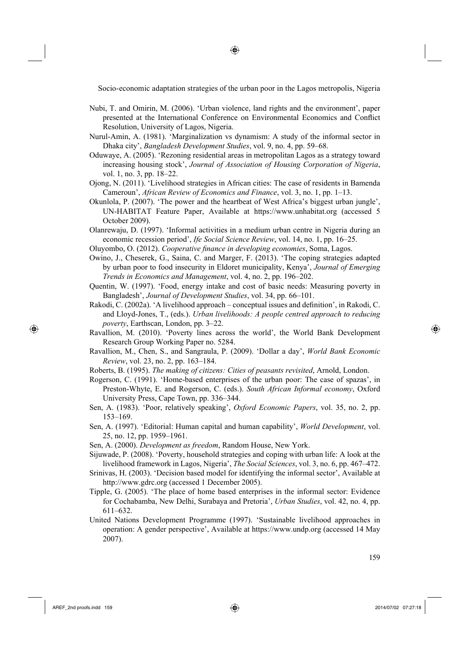◈

- Nubi, T. and Omirin, M. (2006). 'Urban violence, land rights and the environment', paper presented at the International Conference on Environmental Economics and Conflict Resolution, University of Lagos, Nigeria.
- Nurul-Amin, A. (1981). 'Marginalization vs dynamism: A study of the informal sector in Dhaka city', *Bangladesh Development Studies*, vol. 9, no. 4, pp. 59–68.
- Oduwaye, A. (2005). 'Rezoning residential areas in metropolitan Lagos as a strategy toward increasing housing stock', *Journal of Association of Housing Corporation of Nigeria*, vol. 1, no. 3, pp. 18–22.
- Ojong, N. (2011). 'Livelihood strategies in African cities: The case of residents in Bamenda Cameroun', *African Review of Economics and Finance*, vol. 3, no. 1, pp. 1–13.
- Okunlola, P. (2007). 'The power and the heartbeat of West Africa's biggest urban jungle', UN-HABITAT Feature Paper, Available at https://www.unhabitat.org (accessed 5 October 2009).
- Olanrewaju, D. (1997). 'Informal activities in a medium urban centre in Nigeria during an economic recession period', *Ife Social Science Review*, vol. 14, no. 1, pp. 16–25.
- Oluyombo, O. (2012). *Cooperative finance in developing economies*, Soma, Lagos.
- Owino, J., Cheserek, G., Saina, C. and Marger, F. (2013). 'The coping strategies adapted by urban poor to food insecurity in Eldoret municipality, Kenya', *Journal of Emerging Trends in Economics and Management*, vol. 4, no. 2, pp. 196–202.
- Quentin, W. (1997). 'Food, energy intake and cost of basic needs: Measuring poverty in Bangladesh', *Journal of Development Studies*, vol. 34, pp. 66–101.
- Rakodi, C. (2002a). 'A livelihood approach conceptual issues and definition', in Rakodi, C. and Lloyd-Jones, T., (eds.). *Urban livelihoods: A people centred approach to reducing poverty*, Earthscan, London, pp. 3–22.
- Ravallion, M. (2010). 'Poverty lines across the world', the World Bank Development Research Group Working Paper no. 5284.
- Ravallion, M., Chen, S., and Sangraula, P. (2009). 'Dollar a day', *World Bank Economic Review*, vol. 23, no. 2, pp. 163–184.
- Roberts, B. (1995). *The making of citizens: Cities of peasants revisited*, Arnold, London.
- Rogerson, C. (1991). 'Home-based enterprises of the urban poor: The case of spazas', in Preston-Whyte, E. and Rogerson, C. (eds.). *South African Informal economy*, Oxford University Press, Cape Town, pp. 336–344.
- Sen, A. (1983). 'Poor, relatively speaking', *Oxford Economic Papers*, vol. 35, no. 2, pp. 153–169.
- Sen, A. (1997). 'Editorial: Human capital and human capability', *World Development*, vol. 25, no. 12, pp. 1959–1961.

Sen, A. (2000). *Development as freedom*, Random House, New York.

- Sijuwade, P. (2008). 'Poverty, household strategies and coping with urban life: A look at the livelihood framework in Lagos, Nigeria', *The Social Sciences*, vol. 3, no. 6, pp. 467–472.
- Srinivas, H. (2003). 'Decision based model for identifying the informal sector', Available at http://www.gdrc.org (accessed 1 December 2005).
- Tipple, G. (2005). 'The place of home based enterprises in the informal sector: Evidence for Cochabamba, New Delhi, Surabaya and Pretoria', *Urban Studies*, vol. 42, no. 4, pp. 611–632.
- United Nations Development Programme (1997). 'Sustainable livelihood approaches in operation: A gender perspective', Available at https://www.undp.org (accessed 14 May 2007).

AREF\_2nd proofs.indd 159 2014/07/02 07:27:18

⊕